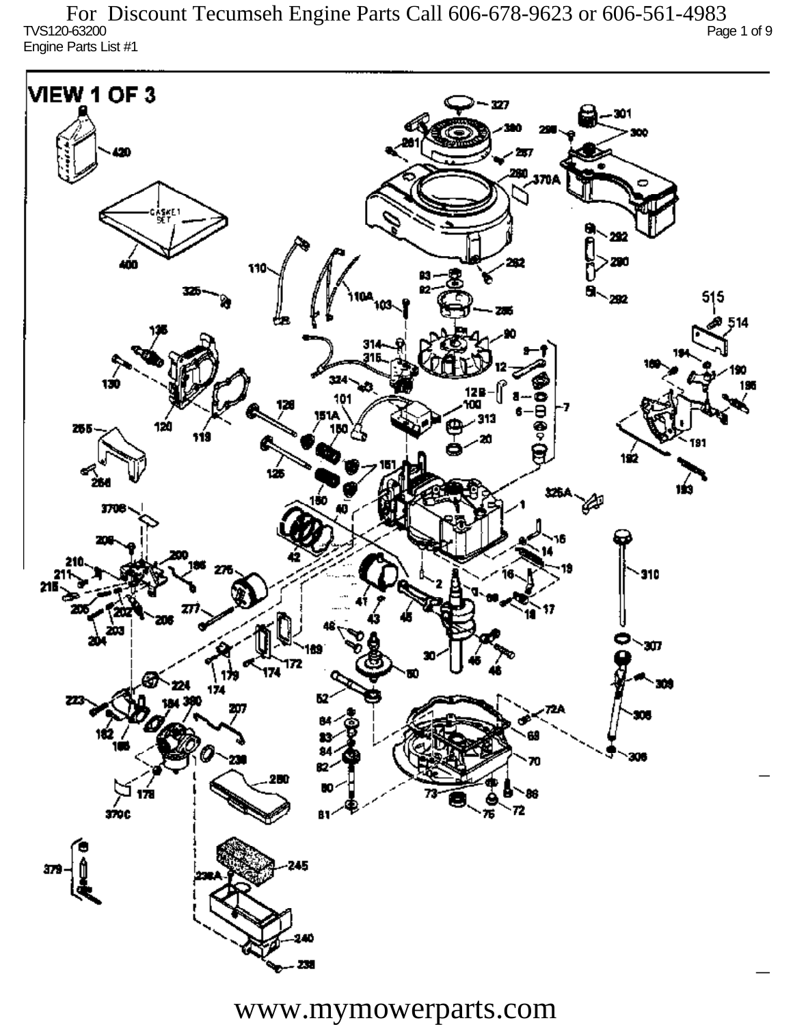TVS120-63200 Page 1 of 9 Engine Parts List #1 For Discount Tecumseh Engine Parts Call 606-678-9623 or 606-561-4983



www.mymowerparts.com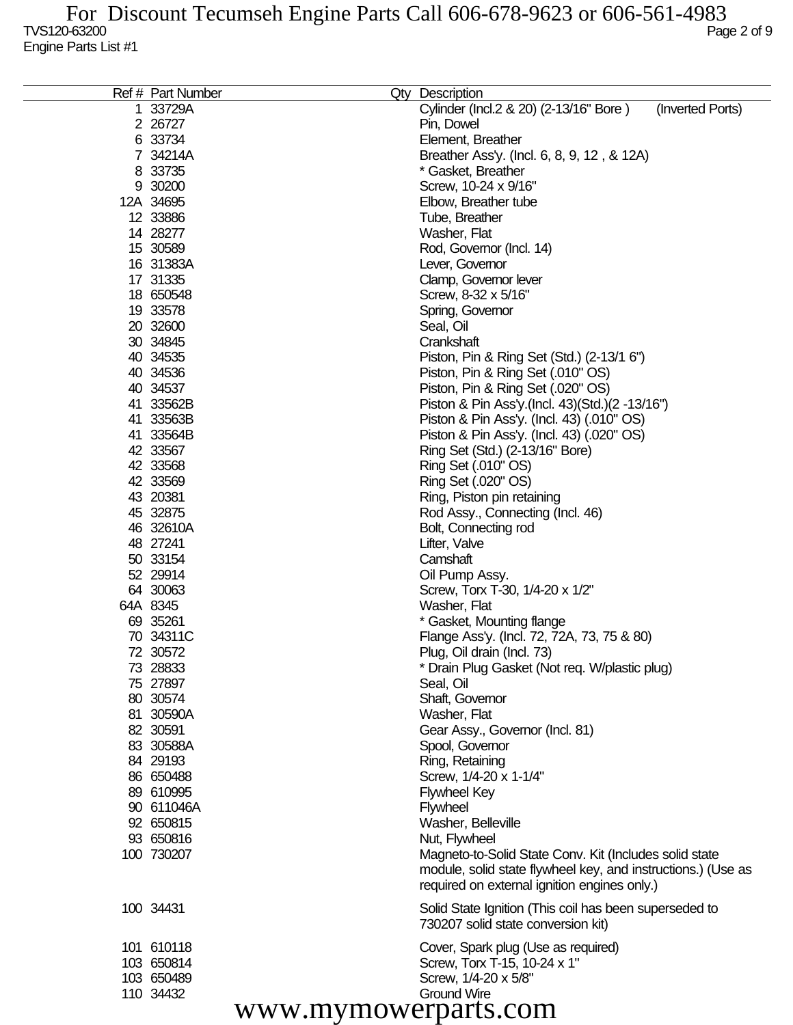| Ref # Part Number | Qty | <b>Description</b>                                           |
|-------------------|-----|--------------------------------------------------------------|
| 1 33729A          |     | Cylinder (Incl.2 & 20) (2-13/16" Bore)<br>(Inverted Ports)   |
| 2 26727           |     | Pin, Dowel                                                   |
| 6 33734           |     | Element, Breather                                            |
| 7 34214A          |     | Breather Ass'y. (Incl. 6, 8, 9, 12, & 12A)                   |
| 8 33735           |     | * Gasket, Breather                                           |
| 9 30200           |     | Screw, 10-24 x 9/16"                                         |
| 12A 34695         |     | Elbow, Breather tube                                         |
| 12 33886          |     | Tube, Breather                                               |
| 14 28277          |     | Washer, Flat                                                 |
| 15 30589          |     | Rod, Governor (Incl. 14)                                     |
| 16 31383A         |     | Lever, Governor                                              |
| 17 31335          |     | Clamp, Governor lever                                        |
| 18 650548         |     | Screw, 8-32 x 5/16"                                          |
| 19 33578          |     | Spring, Governor                                             |
| 20 32600          |     | Seal, Oil                                                    |
| 30 34845          |     | Crankshaft                                                   |
| 40 34535          |     | Piston, Pin & Ring Set (Std.) (2-13/1 6")                    |
| 40 34536          |     | Piston, Pin & Ring Set (.010" OS)                            |
| 40 34537          |     | Piston, Pin & Ring Set (.020" OS)                            |
| 41 33562B         |     | Piston & Pin Ass'y.(Incl. 43)(Std.)(2 -13/16")               |
| 41 33563B         |     | Piston & Pin Ass'y. (Incl. 43) (.010" OS)                    |
| 41 33564B         |     | Piston & Pin Ass'y. (Incl. 43) (.020" OS)                    |
| 42 33567          |     | Ring Set (Std.) (2-13/16" Bore)                              |
| 42 33568          |     | Ring Set (.010" OS)                                          |
| 42 33569          |     | Ring Set (.020" OS)                                          |
| 43 20381          |     | Ring, Piston pin retaining                                   |
| 45 32875          |     | Rod Assy., Connecting (Incl. 46)                             |
| 46 32610A         |     | Bolt, Connecting rod                                         |
| 48 27241          |     | Lifter, Valve                                                |
| 50 33154          |     | Camshaft                                                     |
| 52 29914          |     | Oil Pump Assy.                                               |
| 64 30063          |     | Screw, Torx T-30, 1/4-20 x 1/2"                              |
| 64A 8345          |     | Washer, Flat                                                 |
| 69 35261          |     | * Gasket, Mounting flange                                    |
| 70 34311C         |     | Flange Ass'y. (Incl. 72, 72A, 73, 75 & 80)                   |
| 72 30572          |     | Plug, Oil drain (Incl. 73)                                   |
| 73 28833          |     | * Drain Plug Gasket (Not req. W/plastic plug)                |
| 75 27897          |     | Seal, Oil                                                    |
| 80 30574          |     | Shaft, Governor                                              |
| 81 30590A         |     | Washer, Flat                                                 |
| 82 30591          |     | Gear Assy., Governor (Incl. 81)                              |
| 83 30588A         |     | Spool, Governor                                              |
| 84 29193          |     | Ring, Retaining                                              |
| 86 650488         |     | Screw, 1/4-20 x 1-1/4"                                       |
| 89 610995         |     | <b>Flywheel Key</b>                                          |
| 90 611046A        |     | <b>Flywheel</b>                                              |
| 92 650815         |     | Washer, Belleville                                           |
| 93 650816         |     | Nut, Flywheel                                                |
| 100 730207        |     | Magneto-to-Solid State Conv. Kit (Includes solid state       |
|                   |     | module, solid state flywheel key, and instructions.) (Use as |
|                   |     | required on external ignition engines only.)                 |
|                   |     |                                                              |
| 100 34431         |     | Solid State Ignition (This coil has been superseded to       |
|                   |     | 730207 solid state conversion kit)                           |
| 101 610118        |     | Cover, Spark plug (Use as required)                          |
| 103 650814        |     | Screw, Torx T-15, 10-24 x 1"                                 |
| 103 650489        |     | Screw, 1/4-20 x 5/8"                                         |
| 110 34432         |     | <b>Ground Wire</b>                                           |
|                   |     | www.mymowerparts.com                                         |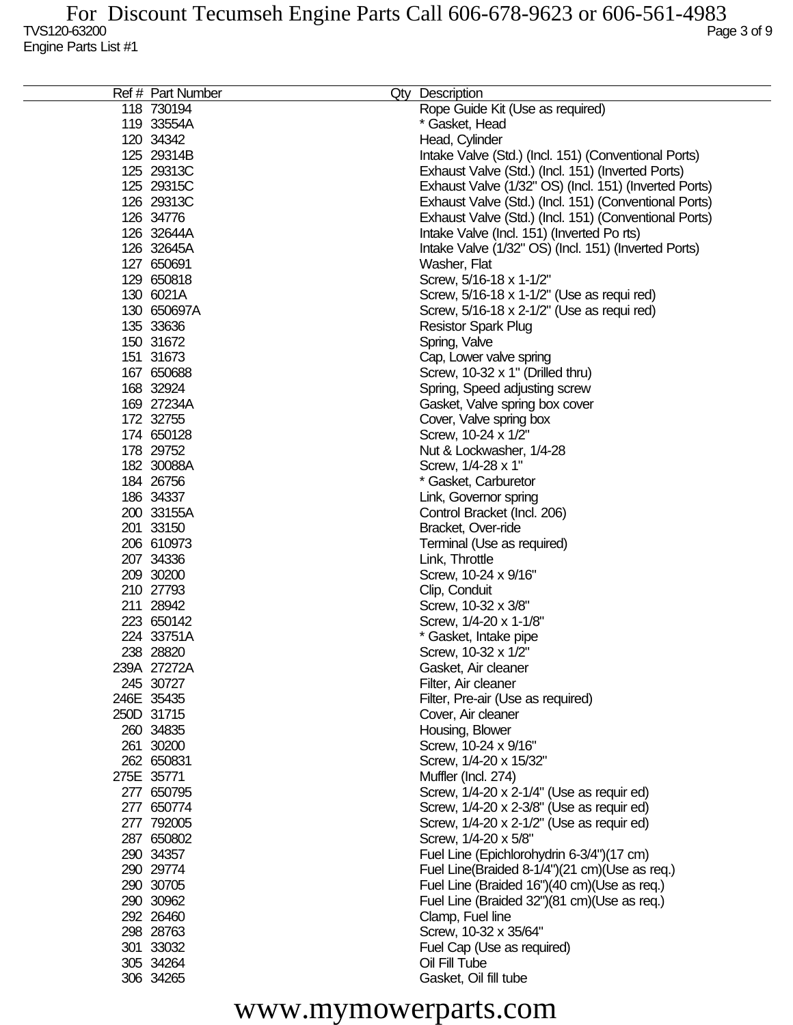| Ref # Part Number | Qty Description                                       |
|-------------------|-------------------------------------------------------|
| 118 730194        | Rope Guide Kit (Use as required)                      |
| 119 33554A        | * Gasket, Head                                        |
| 120 34342         | Head, Cylinder                                        |
| 125 29314B        | Intake Valve (Std.) (Incl. 151) (Conventional Ports)  |
| 125 29313C        | Exhaust Valve (Std.) (Incl. 151) (Inverted Ports)     |
| 125 29315C        | Exhaust Valve (1/32" OS) (Incl. 151) (Inverted Ports) |
| 126 29313C        | Exhaust Valve (Std.) (Incl. 151) (Conventional Ports) |
| 126 34776         | Exhaust Valve (Std.) (Incl. 151) (Conventional Ports) |
| 126 32644A        | Intake Valve (Incl. 151) (Inverted Po rts)            |
| 126 32645A        | Intake Valve (1/32" OS) (Incl. 151) (Inverted Ports)  |
| 127 650691        | Washer, Flat                                          |
| 129 650818        | Screw, 5/16-18 x 1-1/2"                               |
| 130 6021A         | Screw, 5/16-18 x 1-1/2" (Use as requi red)            |
| 130 650697A       | Screw, 5/16-18 x 2-1/2" (Use as requi red)            |
| 135 33636         | <b>Resistor Spark Plug</b>                            |
| 150 31672         |                                                       |
|                   | Spring, Valve                                         |
| 151 31673         | Cap, Lower valve spring                               |
| 167 650688        | Screw, 10-32 x 1" (Drilled thru)                      |
| 168 32924         | Spring, Speed adjusting screw                         |
| 169 27234A        | Gasket, Valve spring box cover                        |
| 172 32755         | Cover, Valve spring box                               |
| 174 650128        | Screw, 10-24 x 1/2"                                   |
| 178 29752         | Nut & Lockwasher, 1/4-28                              |
| 182 30088A        | Screw, 1/4-28 x 1"                                    |
| 184 26756         | * Gasket, Carburetor                                  |
| 186 34337         | Link, Governor spring                                 |
| 200 33155A        | Control Bracket (Incl. 206)                           |
| 201 33150         | Bracket, Over-ride                                    |
| 206 610973        | Terminal (Use as required)                            |
| 207 34336         | Link, Throttle                                        |
| 209 30200         | Screw, 10-24 x 9/16"                                  |
| 210 27793         | Clip, Conduit                                         |
| 211 28942         | Screw, 10-32 x 3/8"                                   |
| 223 650142        | Screw, 1/4-20 x 1-1/8"                                |
| 224 33751A        | * Gasket, Intake pipe                                 |
| 238 28820         | Screw, 10-32 x 1/2"                                   |
| 239A 27272A       | Gasket, Air cleaner                                   |
| 245 30727         | Filter, Air cleaner                                   |
| 246E 35435        | Filter, Pre-air (Use as required)                     |
| 250D 31715        | Cover, Air cleaner                                    |
| 260 34835         | Housing, Blower                                       |
| 261 30200         | Screw, 10-24 x 9/16"                                  |
| 262 650831        | Screw, 1/4-20 x 15/32"                                |
| 275E 35771        | Muffler (Incl. 274)                                   |
| 277 650795        | Screw, 1/4-20 x 2-1/4" (Use as requir ed)             |
| 277 650774        | Screw, 1/4-20 x 2-3/8" (Use as requir ed)             |
| 277 792005        | Screw, 1/4-20 x 2-1/2" (Use as requir ed)             |
| 287 650802        | Screw, 1/4-20 x 5/8"                                  |
| 290 34357         | Fuel Line (Epichlorohydrin 6-3/4")(17 cm)             |
| 290 29774         | Fuel Line(Braided 8-1/4")(21 cm)(Use as req.)         |
| 290 30705         | Fuel Line (Braided 16")(40 cm)(Use as req.)           |
| 290 30962         | Fuel Line (Braided 32")(81 cm)(Use as req.)           |
| 292 26460         | Clamp, Fuel line                                      |
| 298 28763         | Screw, 10-32 x 35/64"                                 |
| 301 33032         | Fuel Cap (Use as required)                            |
| 305 34264         | Oil Fill Tube                                         |
| 306 34265         | Gasket, Oil fill tube                                 |
|                   |                                                       |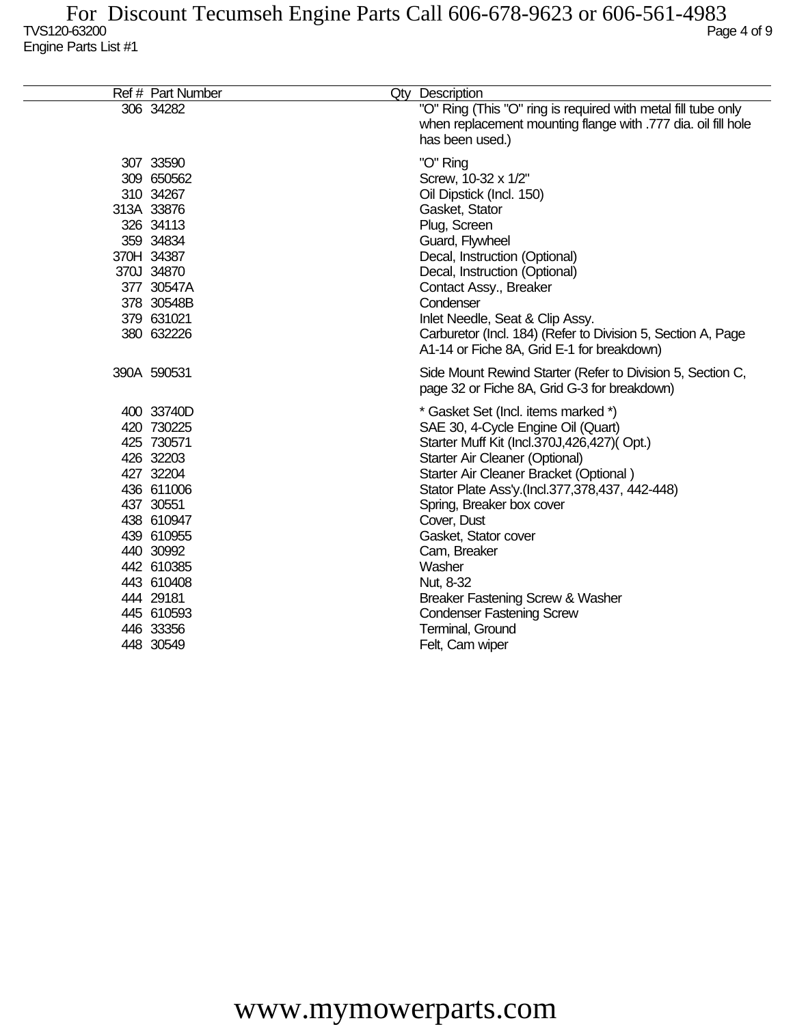| Ref # Part Number                                                                                                                                                                                                     | Qty Description                                                                                                                                                                                                                                                                                                                                                                                                                                                                                   |
|-----------------------------------------------------------------------------------------------------------------------------------------------------------------------------------------------------------------------|---------------------------------------------------------------------------------------------------------------------------------------------------------------------------------------------------------------------------------------------------------------------------------------------------------------------------------------------------------------------------------------------------------------------------------------------------------------------------------------------------|
| 306 34282                                                                                                                                                                                                             | "O" Ring (This "O" ring is required with metal fill tube only<br>when replacement mounting flange with .777 dia. oil fill hole<br>has been used.)                                                                                                                                                                                                                                                                                                                                                 |
| 307 33590<br>309 650562<br>310 34267<br>313A 33876<br>326 34113<br>359 34834<br>370H 34387<br>370J 34870<br>377 30547A<br>378 30548B<br>379 631021<br>380 632226                                                      | "O" Ring<br>Screw, 10-32 x 1/2"<br>Oil Dipstick (Incl. 150)<br>Gasket, Stator<br>Plug, Screen<br>Guard, Flywheel<br>Decal, Instruction (Optional)<br>Decal, Instruction (Optional)<br>Contact Assy., Breaker<br>Condenser<br>Inlet Needle, Seat & Clip Assy.<br>Carburetor (Incl. 184) (Refer to Division 5, Section A, Page<br>A1-14 or Fiche 8A, Grid E-1 for breakdown)                                                                                                                        |
| 390A 590531                                                                                                                                                                                                           | Side Mount Rewind Starter (Refer to Division 5, Section C,<br>page 32 or Fiche 8A, Grid G-3 for breakdown)                                                                                                                                                                                                                                                                                                                                                                                        |
| 400 33740D<br>420 730225<br>425 730571<br>426 32203<br>427 32204<br>436 611006<br>437 30551<br>438 610947<br>439 610955<br>440 30992<br>442 610385<br>443 610408<br>444 29181<br>445 610593<br>446 33356<br>448 30549 | * Gasket Set (Incl. items marked *)<br>SAE 30, 4-Cycle Engine Oil (Quart)<br>Starter Muff Kit (Incl.370J,426,427)(Opt.)<br>Starter Air Cleaner (Optional)<br>Starter Air Cleaner Bracket (Optional)<br>Stator Plate Ass'y.(Incl.377,378,437, 442-448)<br>Spring, Breaker box cover<br>Cover, Dust<br>Gasket, Stator cover<br>Cam, Breaker<br>Washer<br>Nut, 8-32<br><b>Breaker Fastening Screw &amp; Washer</b><br><b>Condenser Fastening Screw</b><br><b>Terminal, Ground</b><br>Felt, Cam wiper |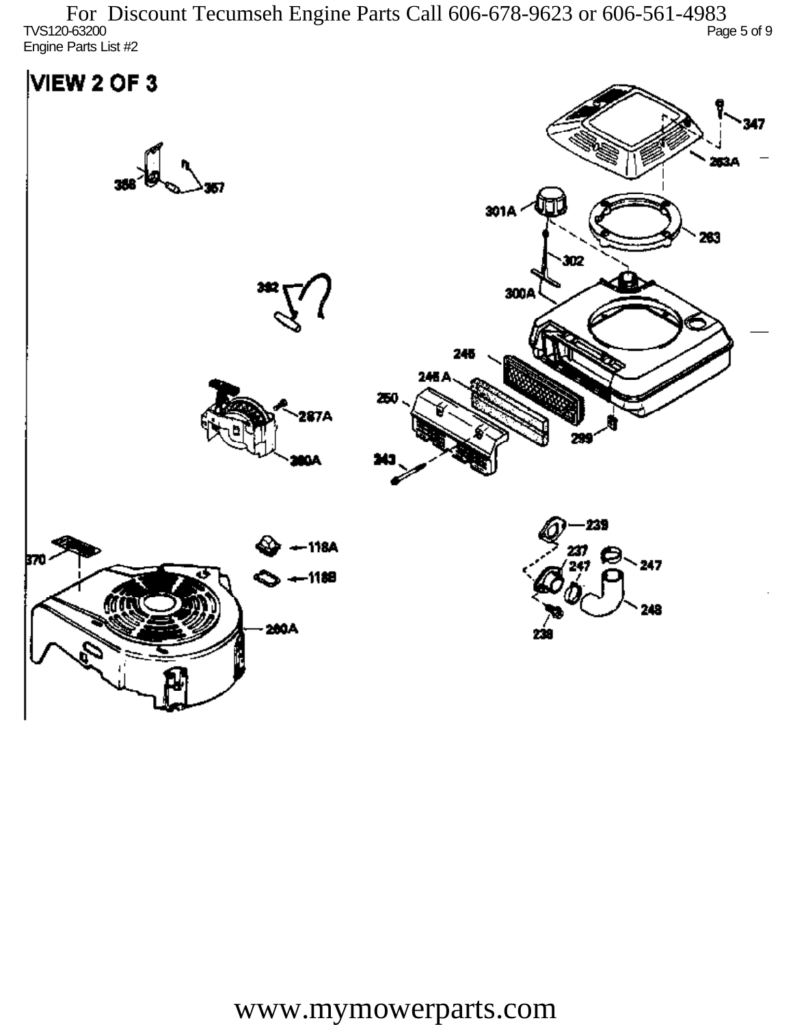TVS120-63200 Page 5 of 9 Engine Parts List #2 For Discount Tecumseh Engine Parts Call 606-678-9623 or 606-561-4983

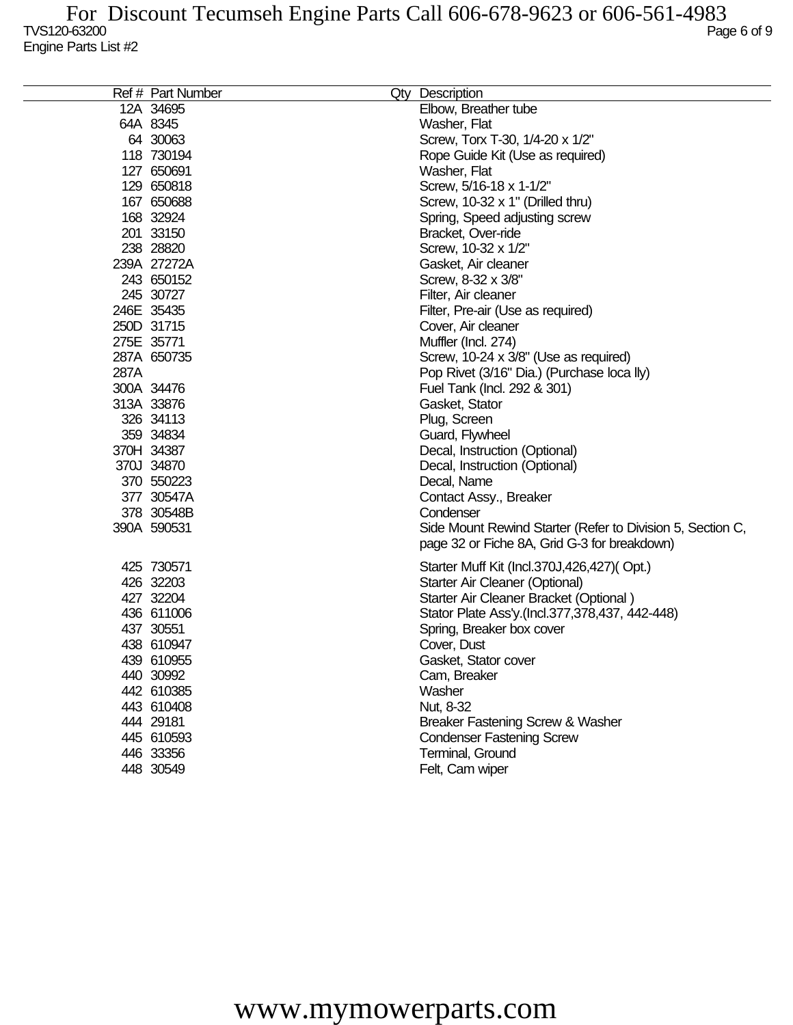|      | Ref # Part Number | Qty Description                                            |
|------|-------------------|------------------------------------------------------------|
|      | 12A 34695         | Elbow, Breather tube                                       |
|      | 64A 8345          | Washer, Flat                                               |
|      | 64 30063          | Screw, Torx T-30, 1/4-20 x 1/2"                            |
|      | 118 730194        | Rope Guide Kit (Use as required)                           |
|      | 127 650691        | Washer, Flat                                               |
|      | 129 650818        | Screw, 5/16-18 x 1-1/2"                                    |
|      | 167 650688        | Screw, 10-32 x 1" (Drilled thru)                           |
|      | 168 32924         | Spring, Speed adjusting screw                              |
|      | 201 33150         | Bracket, Over-ride                                         |
|      | 238 28820         | Screw, 10-32 x 1/2"                                        |
|      | 239A 27272A       | Gasket, Air cleaner                                        |
|      | 243 650152        | Screw, 8-32 x 3/8"                                         |
|      | 245 30727         | Filter, Air cleaner                                        |
|      | 246E 35435        | Filter, Pre-air (Use as required)                          |
|      | 250D 31715        | Cover, Air cleaner                                         |
|      | 275E 35771        | Muffler (Incl. 274)                                        |
|      | 287A 650735       | Screw, 10-24 x 3/8" (Use as required)                      |
| 287A |                   | Pop Rivet (3/16" Dia.) (Purchase loca lly)                 |
|      | 300A 34476        | Fuel Tank (Incl. 292 & 301)                                |
|      | 313A 33876        | Gasket, Stator                                             |
|      | 326 34113         | Plug, Screen                                               |
|      | 359 34834         | Guard, Flywheel                                            |
|      | 370H 34387        | Decal, Instruction (Optional)                              |
|      | 370J 34870        | Decal, Instruction (Optional)                              |
|      | 370 550223        | Decal, Name                                                |
|      | 377 30547A        | Contact Assy., Breaker                                     |
|      | 378 30548B        | Condenser                                                  |
|      | 390A 590531       | Side Mount Rewind Starter (Refer to Division 5, Section C, |
|      |                   | page 32 or Fiche 8A, Grid G-3 for breakdown)               |
|      | 425 730571        | Starter Muff Kit (Incl.370J,426,427)(Opt.)                 |
|      | 426 32203         | Starter Air Cleaner (Optional)                             |
|      | 427 32204         | Starter Air Cleaner Bracket (Optional)                     |
|      | 436 611006        | Stator Plate Ass'y.(Incl.377,378,437, 442-448)             |
|      | 437 30551         | Spring, Breaker box cover                                  |
|      | 438 610947        | Cover, Dust                                                |
|      | 439 610955        | Gasket, Stator cover                                       |
|      | 440 30992         | Cam, Breaker                                               |
|      | 442 610385        | Washer                                                     |
|      | 443 610408        | Nut, 8-32                                                  |
|      | 444 29181         | Breaker Fastening Screw & Washer                           |
|      | 445 610593        | <b>Condenser Fastening Screw</b>                           |
|      | 446 33356         | Terminal, Ground                                           |
|      | 448 30549         | Felt, Cam wiper                                            |
|      |                   |                                                            |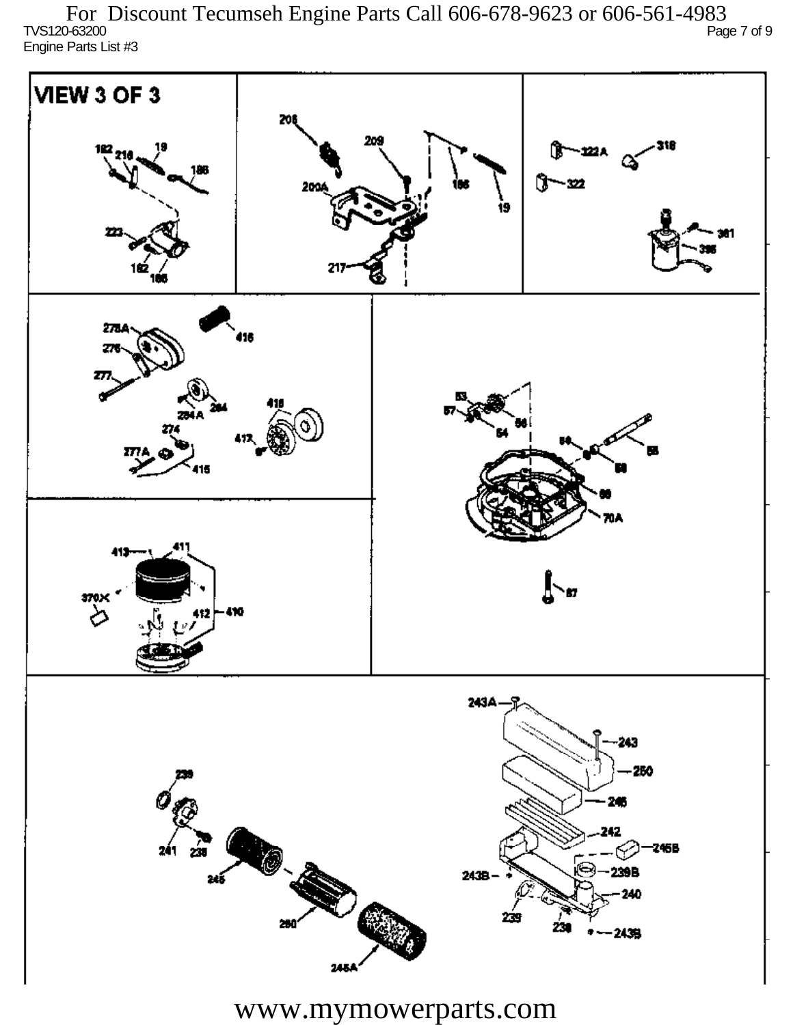TVS120-63200 Page 7 of 9 Engine Parts List #3 For Discount Tecumseh Engine Parts Call 606-678-9623 or 606-561-4983

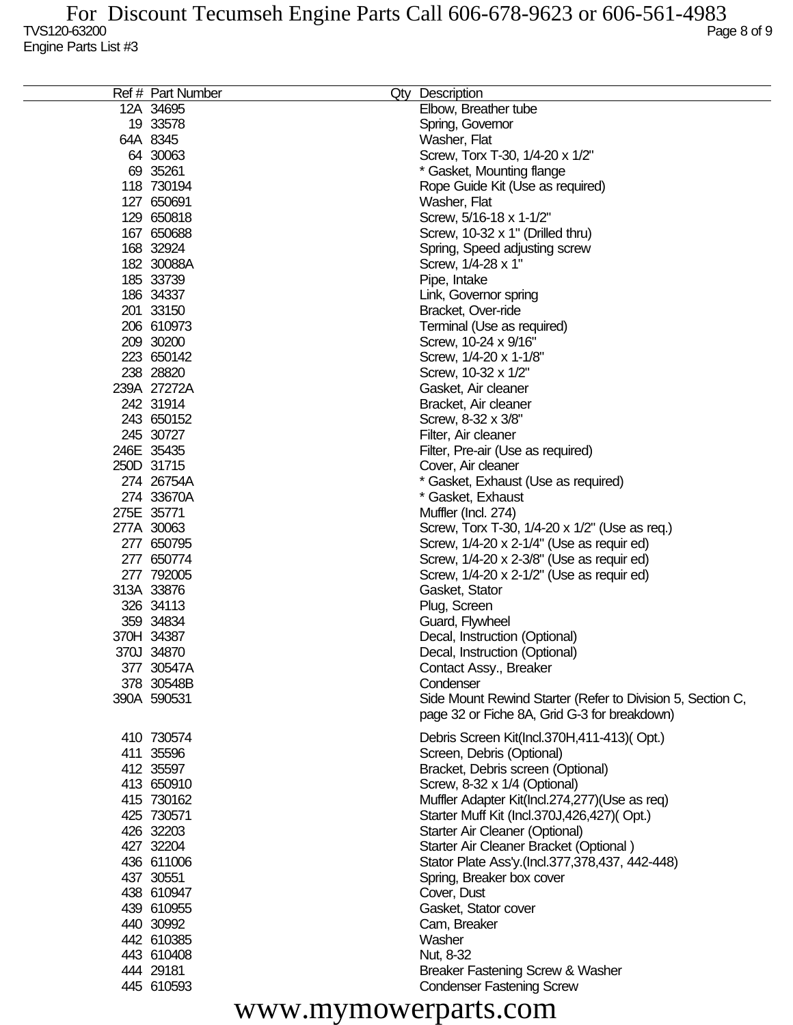| Ref # Part Number | Qty Description                                            |
|-------------------|------------------------------------------------------------|
| 12A 34695         | Elbow, Breather tube                                       |
| 19 33578          | Spring, Governor                                           |
| 64A 8345          | Washer, Flat                                               |
| 64 30063          | Screw, Torx T-30, 1/4-20 x 1/2"                            |
| 69 35261          | * Gasket, Mounting flange                                  |
| 118 730194        | Rope Guide Kit (Use as required)                           |
| 127 650691        | Washer, Flat                                               |
| 129 650818        | Screw, 5/16-18 x 1-1/2"                                    |
| 167 650688        | Screw, 10-32 x 1" (Drilled thru)                           |
| 168 32924         | Spring, Speed adjusting screw                              |
| 182 30088A        | Screw, 1/4-28 x 1"                                         |
| 185 33739         | Pipe, Intake                                               |
| 186 34337         |                                                            |
| 201 33150         | Link, Governor spring                                      |
|                   | Bracket, Over-ride                                         |
| 206 610973        | Terminal (Use as required)                                 |
| 209 30200         | Screw, 10-24 x 9/16"                                       |
| 223 650142        | Screw, 1/4-20 x 1-1/8"                                     |
| 238 28820         | Screw, 10-32 x 1/2"                                        |
| 239A 27272A       | Gasket, Air cleaner                                        |
| 242 31914         | Bracket, Air cleaner                                       |
| 243 650152        | Screw, 8-32 x 3/8"                                         |
| 245 30727         | Filter, Air cleaner                                        |
| 246E 35435        | Filter, Pre-air (Use as required)                          |
| 250D 31715        | Cover, Air cleaner                                         |
| 274 26754A        | * Gasket, Exhaust (Use as required)                        |
| 274 33670A        | * Gasket, Exhaust                                          |
| 275E 35771        | Muffler (Incl. 274)                                        |
| 277A 30063        | Screw, Torx T-30, 1/4-20 x 1/2" (Use as req.)              |
| 277 650795        | Screw, 1/4-20 x 2-1/4" (Use as requir ed)                  |
| 277 650774        | Screw, 1/4-20 x 2-3/8" (Use as requir ed)                  |
| 277 792005        | Screw, 1/4-20 x 2-1/2" (Use as requir ed)                  |
| 313A 33876        | Gasket, Stator                                             |
| 326 34113         | Plug, Screen                                               |
| 359 34834         | Guard, Flywheel                                            |
| 370H 34387        | Decal, Instruction (Optional)                              |
| 370J 34870        | Decal, Instruction (Optional)                              |
| 377 30547A        | Contact Assy., Breaker                                     |
| 378 30548B        | Condenser                                                  |
| 390A 590531       | Side Mount Rewind Starter (Refer to Division 5, Section C, |
|                   | page 32 or Fiche 8A, Grid G-3 for breakdown)               |
| 410 730574        | Debris Screen Kit(Incl.370H,411-413)(Opt.)                 |
| 411 35596         | Screen, Debris (Optional)                                  |
| 412 35597         | Bracket, Debris screen (Optional)                          |
| 413 650910        | Screw, 8-32 x 1/4 (Optional)                               |
| 415 730162        | Muffler Adapter Kit(Incl.274,277)(Use as req)              |
| 425 730571        | Starter Muff Kit (Incl.370J,426,427)(Opt.)                 |
| 426 32203         | Starter Air Cleaner (Optional)                             |
| 427 32204         |                                                            |
|                   | Starter Air Cleaner Bracket (Optional)                     |
| 436 611006        | Stator Plate Ass'y.(Incl.377,378,437, 442-448)             |
| 437 30551         | Spring, Breaker box cover                                  |
| 438 610947        | Cover, Dust                                                |
| 439 610955        | Gasket, Stator cover                                       |
| 440 30992         | Cam, Breaker                                               |
| 442 610385        | Washer                                                     |
| 443 610408        | Nut, 8-32                                                  |
| 444 29181         | Breaker Fastening Screw & Washer                           |
| 445 610593        | <b>Condenser Fastening Screw</b>                           |